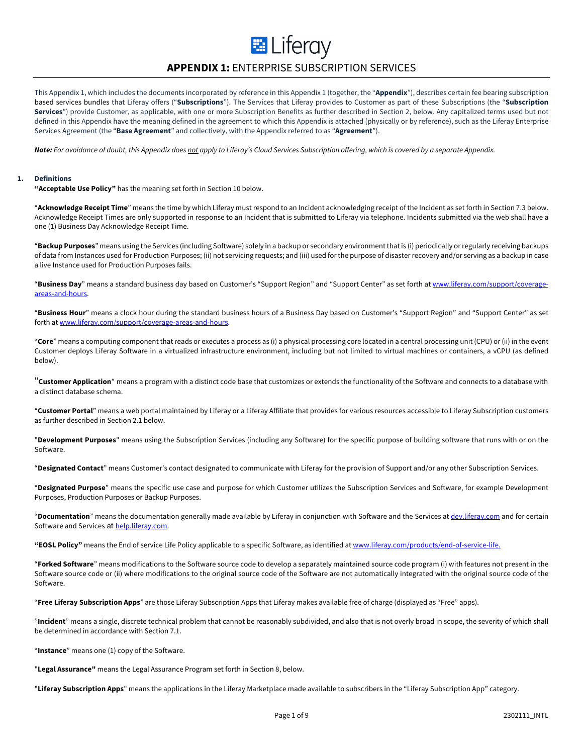# **APPENDIX 1:** ENTERPRISE SUBSCRIPTION SERVICES

**E** Liferay

This Appendix 1, which includes the documents incorporated by reference in this Appendix 1 (together, the "**Appendix**"), describes certain fee bearing subscription based services bundles that Liferay offers ("**Subscriptions**"). The Services that Liferay provides to Customer as part of these Subscriptions (the "**Subscription Services**") provide Customer, as applicable, with one or more Subscription Benefits as further described in Section 2, below. Any capitalized terms used but not defined in this Appendix have the meaning defined in the agreement to which this Appendix is attached (physically or by reference), such as the Liferay Enterprise Services Agreement (the "**Base Agreement**" and collectively, with the Appendix referred to as "**Agreement**").

*Note: For avoidance of doubt, this Appendix does not apply to Liferay's Cloud Services Subscription offering, which is covered by a separate Appendix.*

#### **1. Definitions**

**"Acceptable Use Policy"** has the meaning set forth in Section 10 below.

"**Acknowledge Receipt Time**" means the time by which Liferay must respond to an Incident acknowledging receipt of the Incident as set forth in Section 7.3 below. Acknowledge Receipt Times are only supported in response to an Incident that is submitted to Liferay via telephone. Incidents submitted via the web shall have a one (1) Business Day Acknowledge Receipt Time.

"**Backup Purposes**" means using the Services (including Software) solely in a backup or secondary environment that is (i) periodically or regularly receiving backups of data from Instances used for Production Purposes; (ii) not servicing requests; and (iii) used for the purpose of disaster recovery and/or serving as a backup in case a live Instance used for Production Purposes fails.

"**Business Day**" means a standard business day based on Customer's "Support Region" and "Support Center" as set forth at www.liferay.com/support/coverageareas-and-hours.

"**Business Hour**" means a clock hour during the standard business hours of a Business Day based on Customer's "Support Region" and "Support Center" as set forth at www.liferay.com/support/coverage-areas-and-hours.

"**Core**" means a computing component that reads or executes a process as (i) a physical processing core located in a central processing unit (CPU) or (ii) in the event Customer deploys Liferay Software in a virtualized infrastructure environment, including but not limited to virtual machines or containers, a vCPU (as defined below).

"**Customer Application**" means a program with a distinct code base that customizes or extends the functionality of the Software and connects to a database with a distinct database schema.

"**Customer Portal**" means a web portal maintained by Liferay or a Liferay Affiliate that provides for various resources accessible to Liferay Subscription customers as further described in Section 2.1 below.

"**Development Purposes**" means using the Subscription Services (including any Software) for the specific purpose of building software that runs with or on the Software.

"**Designated Contact**" means Customer's contact designated to communicate with Liferay for the provision of Support and/or any other Subscription Services.

"**Designated Purpose**" means the specific use case and purpose for which Customer utilizes the Subscription Services and Software, for example Development Purposes, Production Purposes or Backup Purposes.

"**Documentation**" means the documentation generally made available by Liferay in conjunction with Software and the Services at dev.liferay.com and for certain Software and Services at help.liferay.com.

**"EOSL Policy"** means the End of service Life Policy applicable to a specific Software, as identified at www.liferay.com/products/end-of-service-life.

"**Forked Software**" means modifications to the Software source code to develop a separately maintained source code program (i) with features not present in the Software source code or (ii) where modifications to the original source code of the Software are not automatically integrated with the original source code of the Software.

"**Free Liferay Subscription Apps**" are those Liferay Subscription Apps that Liferay makes available free of charge (displayed as "Free" apps).

"**Incident**" means a single, discrete technical problem that cannot be reasonably subdivided, and also that is not overly broad in scope, the severity of which shall be determined in accordance with Section 7.1.

"**Instance**" means one (1) copy of the Software.

"**Legal Assurance"** means the Legal Assurance Program set forth in Section 8, below.

"**Liferay Subscription Apps**" means the applications in the Liferay Marketplace made available to subscribers in the "Liferay Subscription App" category.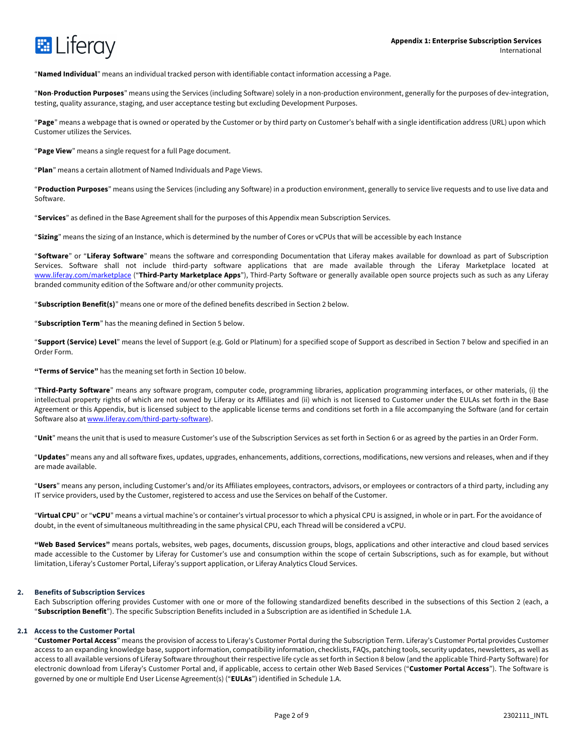

"**Named Individual**" means an individual tracked person with identifiable contact information accessing a Page.

"**Non**-**Production Purposes**" means using the Services (including Software) solely in a non-production environment, generally for the purposes of dev-integration, testing, quality assurance, staging, and user acceptance testing but excluding Development Purposes.

"**Page**" means a webpage that is owned or operated by the Customer or by third party on Customer's behalf with a single identification address (URL) upon which Customer utilizes the Services.

"**Page View**" means a single request for a full Page document.

"**Plan**" means a certain allotment of Named Individuals and Page Views.

"**Production Purposes**" means using the Services (including any Software) in a production environment, generally to service live requests and to use live data and Software.

"**Services**" as defined in the Base Agreement shall for the purposes of this Appendix mean Subscription Services.

"**Sizing**" means the sizing of an Instance, which is determined by the number of Cores or vCPUs that will be accessible by each Instance

"**Software**" or "**Liferay Software**" means the software and corresponding Documentation that Liferay makes available for download as part of Subscription Services. Software shall not include third-party software applications that are made available through the Liferay Marketplace located at www.liferay.com/marketplace ("**Third-Party Marketplace Apps**"), Third-Party Software or generally available open source projects such as such as any Liferay branded community edition of the Software and/or other community projects.

"**Subscription Benefit(s)**" means one or more of the defined benefits described in Section 2 below.

"**Subscription Term**" has the meaning defined in Section 5 below.

"**Support (Service) Level**" means the level of Support (e.g. Gold or Platinum) for a specified scope of Support as described in Section 7 below and specified in an Order Form.

**"Terms of Service"** has the meaning set forth in Section 10 below.

"**Third-Party Software**" means any software program, computer code, programming libraries, application programming interfaces, or other materials, (i) the intellectual property rights of which are not owned by Liferay or its Affiliates and (ii) which is not licensed to Customer under the EULAs set forth in the Base Agreement or this Appendix, but is licensed subject to the applicable license terms and conditions set forth in a file accompanying the Software (and for certain Software also at www.liferay.com/third-party-software).

"**Unit**" means the unit that is used to measure Customer's use of the Subscription Services as set forth in Section 6 or as agreed by the parties in an Order Form.

"**Updates**" means any and all software fixes, updates, upgrades, enhancements, additions, corrections, modifications, new versions and releases, when and if they are made available.

"**Users**" means any person, including Customer's and/or its Affiliates employees, contractors, advisors, or employees or contractors of a third party, including any IT service providers, used by the Customer, registered to access and use the Services on behalf of the Customer.

"**Virtual CPU**" or "**vCPU**" means a virtual machine's or container's virtual processor to which a physical CPU is assigned, in whole or in part. For the avoidance of doubt, in the event of simultaneous multithreading in the same physical CPU, each Thread will be considered a vCPU.

**"Web Based Services"** means portals, websites, web pages, documents, discussion groups, blogs, applications and other interactive and cloud based services made accessible to the Customer by Liferay for Customer's use and consumption within the scope of certain Subscriptions, such as for example, but without limitation, Liferay's Customer Portal, Liferay's support application, or Liferay Analytics Cloud Services.

#### **2. Benefits of Subscription Services**

Each Subscription offering provides Customer with one or more of the following standardized benefits described in the subsections of this Section 2 (each, a "**Subscription Benefit**"). The specific Subscription Benefits included in a Subscription are as identified in Schedule 1.A.

# **2.1 Access to the Customer Portal**

"**Customer Portal Access**" means the provision of access to Liferay's Customer Portal during the Subscription Term. Liferay's Customer Portal provides Customer access to an expanding knowledge base, support information, compatibility information, checklists, FAQs, patching tools, security updates, newsletters, as well as access to all available versions of Liferay Software throughout their respective life cycle as set forth in Section 8 below (and the applicable Third-Party Software) for electronic download from Liferay's Customer Portal and, if applicable, access to certain other Web Based Services ("**Customer Portal Access**"). The Software is governed by one or multiple End User License Agreement(s) ("**EULAs**") identified in Schedule 1.A.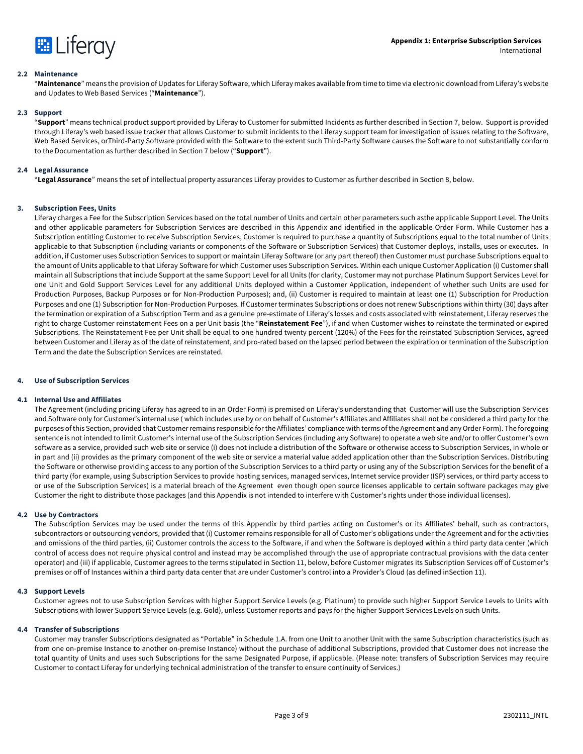

#### **2.2 Maintenance**

"**Maintenance**" means the provision of Updates for Liferay Software, which Liferay makes available from time to time via electronic download from Liferay's website and Updates to Web Based Services ("**Maintenance**").

#### **2.3 Support**

"**Support**" means technical product support provided by Liferay to Customer for submitted Incidents as further described in Section 7, below. Support is provided through Liferay's web based issue tracker that allows Customer to submit incidents to the Liferay support team for investigation of issues relating to the Software, Web Based Services, orThird-Party Software provided with the Software to the extent such Third-Party Software causes the Software to not substantially conform to the Documentation as further described in Section 7 below ("**Support**").

# **2.4 Legal Assurance**

"**Legal Assurance**" means the set of intellectual property assurances Liferay provides to Customer as further described in Section 8, below.

# **3. Subscription Fees, Units**

Liferay charges a Fee for the Subscription Services based on the total number of Units and certain other parameters such asthe applicable Support Level. The Units and other applicable parameters for Subscription Services are described in this Appendix and identified in the applicable Order Form. While Customer has a Subscription entitling Customer to receive Subscription Services, Customer is required to purchase a quantity of Subscriptions equal to the total number of Units applicable to that Subscription (including variants or components of the Software or Subscription Services) that Customer deploys, installs, uses or executes. In addition, if Customer uses Subscription Services to support or maintain Liferay Software (or any part thereof) then Customer must purchase Subscriptions equal to the amount of Units applicable to that Liferay Software for which Customer uses Subscription Services. Within each unique Customer Application (i) Customer shall maintain all Subscriptions that include Support at the same Support Level for all Units (for clarity, Customer may not purchase Platinum Support Services Level for one Unit and Gold Support Services Level for any additional Units deployed within a Customer Application, independent of whether such Units are used for Production Purposes, Backup Purposes or for Non-Production Purposes); and, (ii) Customer is required to maintain at least one (1) Subscription for Production Purposes and one (1) Subscription for Non-Production Purposes. If Customer terminates Subscriptions or does not renew Subscriptions within thirty (30) days after the termination or expiration of a Subscription Term and as a genuine pre-estimate of Liferay's losses and costs associated with reinstatement, Liferay reserves the right to charge Customer reinstatement Fees on a per Unit basis (the "**Reinstatement Fee**"), if and when Customer wishes to reinstate the terminated or expired Subscriptions. The Reinstatement Fee per Unit shall be equal to one hundred twenty percent (120%) of the Fees for the reinstated Subscription Services, agreed between Customer and Liferay as of the date of reinstatement, and pro-rated based on the lapsed period between the expiration or termination of the Subscription Term and the date the Subscription Services are reinstated.

#### **4. Use of Subscription Services**

#### **4.1 Internal Use and Affiliates**

The Agreement (including pricing Liferay has agreed to in an Order Form) is premised on Liferay's understanding that Customer will use the Subscription Services and Software only for Customer's internal use ( which includes use by or on behalf of Customer's Affiliates and Affiliates shall not be considered a third party for the purposes of this Section, provided that Customer remains responsible for the Affiliates' compliance with terms of the Agreement and any Order Form). The foregoing sentence is not intended to limit Customer's internal use of the Subscription Services (including any Software) to operate a web site and/or to offer Customer's own software as a service, provided such web site or service (i) does not include a distribution of the Software or otherwise access to Subscription Services, in whole or in part and (ii) provides as the primary component of the web site or service a material value added application other than the Subscription Services. Distributing the Software or otherwise providing access to any portion of the Subscription Services to a third party or using any of the Subscription Services for the benefit of a third party (for example, using Subscription Services to provide hosting services, managed services, Internet service provider (ISP) services, or third party access to or use of the Subscription Services) is a material breach of the Agreement even though open source licenses applicable to certain software packages may give Customer the right to distribute those packages (and this Appendix is not intended to interfere with Customer's rights under those individual licenses).

#### **4.2 Use by Contractors**

The Subscription Services may be used under the terms of this Appendix by third parties acting on Customer's or its Affiliates' behalf, such as contractors, subcontractors or outsourcing vendors, provided that (i) Customer remains responsible for all of Customer's obligations under the Agreement and for the activities and omissions of the third parties, (ii) Customer controls the access to the Software, if and when the Software is deployed within a third party data center (which control of access does not require physical control and instead may be accomplished through the use of appropriate contractual provisions with the data center operator) and (iii) if applicable, Customer agrees to the terms stipulated in Section 11, below, before Customer migrates its Subscription Services off of Customer's premises or off of Instances within a third party data center that are under Customer's control into a Provider's Cloud (as defined inSection 11).

#### **4.3 Support Levels**

Customer agrees not to use Subscription Services with higher Support Service Levels (e.g. Platinum) to provide such higher Support Service Levels to Units with Subscriptions with lower Support Service Levels (e.g. Gold), unless Customer reports and pays for the higher Support Services Levels on such Units.

#### **4.4 Transfer of Subscriptions**

Customer may transfer Subscriptions designated as "Portable" in Schedule 1.A. from one Unit to another Unit with the same Subscription characteristics (such as from one on-premise Instance to another on-premise Instance) without the purchase of additional Subscriptions, provided that Customer does not increase the total quantity of Units and uses such Subscriptions for the same Designated Purpose, if applicable. (Please note: transfers of Subscription Services may require Customer to contact Liferay for underlying technical administration of the transfer to ensure continuity of Services.)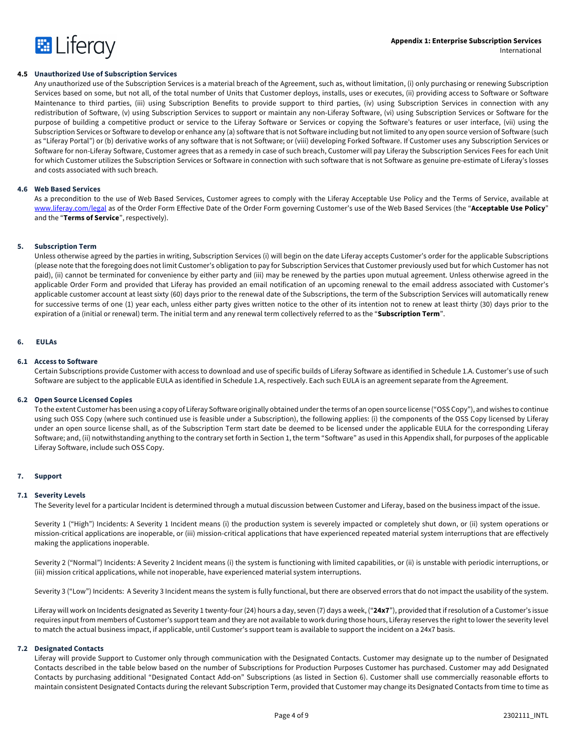

### **4.5 Unauthorized Use of Subscription Services**

Any unauthorized use of the Subscription Services is a material breach of the Agreement, such as, without limitation, (i) only purchasing or renewing Subscription Services based on some, but not all, of the total number of Units that Customer deploys, installs, uses or executes, (ii) providing access to Software or Software Maintenance to third parties, (iii) using Subscription Benefits to provide support to third parties, (iv) using Subscription Services in connection with any redistribution of Software, (v) using Subscription Services to support or maintain any non-Liferay Software, (vi) using Subscription Services or Software for the purpose of building a competitive product or service to the Liferay Software or Services or copying the Software's features or user interface, (vii) using the Subscription Services or Software to develop or enhance any (a) software that is not Software including but not limited to any open source version of Software (such as "Liferay Portal") or (b) derivative works of any software that is not Software; or (viii) developing Forked Software. If Customer uses any Subscription Services or Software for non-Liferay Software, Customer agrees that as a remedy in case of such breach, Customer will pay Liferay the Subscription Services Fees for each Unit for which Customer utilizes the Subscription Services or Software in connection with such software that is not Software as genuine pre-estimate of Liferay's losses and costs associated with such breach.

#### **4.6 Web Based Services**

As a precondition to the use of Web Based Services, Customer agrees to comply with the Liferay Acceptable Use Policy and the Terms of Service, available at www.liferay.com/legal as of the Order Form Effective Date of the Order Form governing Customer's use of the Web Based Services (the "**Acceptable Use Policy**" and the "**Terms of Service**", respectively).

#### **5. Subscription Term**

Unless otherwise agreed by the parties in writing, Subscription Services (i) will begin on the date Liferay accepts Customer's order for the applicable Subscriptions (please note that the foregoing does not limit Customer's obligation to pay for Subscription Services that Customer previously used but for which Customer has not paid), (ii) cannot be terminated for convenience by either party and (iii) may be renewed by the parties upon mutual agreement. Unless otherwise agreed in the applicable Order Form and provided that Liferay has provided an email notification of an upcoming renewal to the email address associated with Customer's applicable customer account at least sixty (60) days prior to the renewal date of the Subscriptions, the term of the Subscription Services will automatically renew for successive terms of one (1) year each, unless either party gives written notice to the other of its intention not to renew at least thirty (30) days prior to the expiration of a (initial or renewal) term. The initial term and any renewal term collectively referred to as the "**Subscription Term**".

#### **6. EULAs**

#### **6.1 Access to Software**

Certain Subscriptions provide Customer with access to download and use of specific builds of Liferay Software as identified in Schedule 1.A. Customer's use of such Software are subject to the applicable EULA as identified in Schedule 1.A, respectively. Each such EULA is an agreement separate from the Agreement.

#### **6.2 Open Source Licensed Copies**

To the extent Customer has been using a copy of Liferay Software originally obtained under the terms of an open source license ("OSS Copy"), and wishes to continue using such OSS Copy (where such continued use is feasible under a Subscription), the following applies: (i) the components of the OSS Copy licensed by Liferay under an open source license shall, as of the Subscription Term start date be deemed to be licensed under the applicable EULA for the corresponding Liferay Software; and, (ii) notwithstanding anything to the contrary set forth in Section 1, the term "Software" as used in this Appendix shall, for purposes of the applicable Liferay Software, include such OSS Copy.

#### **7. Support**

#### **7.1 Severity Levels**

The Severity level for a particular Incident is determined through a mutual discussion between Customer and Liferay, based on the business impact of the issue.

Severity 1 ("High") Incidents: A Severity 1 Incident means (i) the production system is severely impacted or completely shut down, or (ii) system operations or mission-critical applications are inoperable, or (iii) mission-critical applications that have experienced repeated material system interruptions that are effectively making the applications inoperable.

Severity 2 ("Normal") Incidents: A Severity 2 Incident means (i) the system is functioning with limited capabilities, or (ii) is unstable with periodic interruptions, or (iii) mission critical applications, while not inoperable, have experienced material system interruptions.

Severity 3 ("Low") Incidents: A Severity 3 Incident means the system is fully functional, but there are observed errors that do not impact the usability of the system.

Liferay will work on Incidents designated as Severity 1 twenty-four (24) hours a day, seven (7) days a week, ("**24x7**"), provided that if resolution of a Customer's issue requires input from members of Customer's support team and they are not available to work during those hours, Liferay reserves the right to lower the severity level to match the actual business impact, if applicable, until Customer's support team is available to support the incident on a 24x7 basis.

#### **7.2 Designated Contacts**

Liferay will provide Support to Customer only through communication with the Designated Contacts. Customer may designate up to the number of Designated Contacts described in the table below based on the number of Subscriptions for Production Purposes Customer has purchased. Customer may add Designated Contacts by purchasing additional "Designated Contact Add-on" Subscriptions (as listed in Section 6). Customer shall use commercially reasonable efforts to maintain consistent Designated Contacts during the relevant Subscription Term, provided that Customer may change its Designated Contacts from time to time as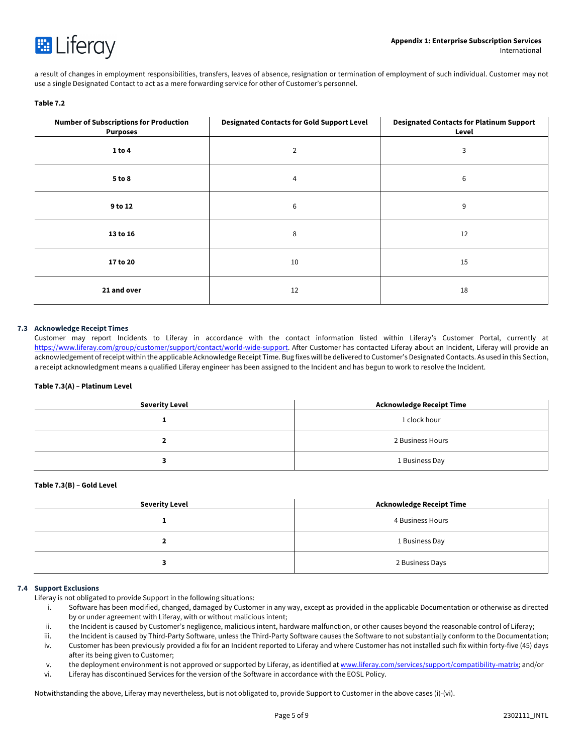

a result of changes in employment responsibilities, transfers, leaves of absence, resignation or termination of employment of such individual. Customer may not use a single Designated Contact to act as a mere forwarding service for other of Customer's personnel.

# **Table 7.2**

| <b>Number of Subscriptions for Production</b><br><b>Purposes</b> | <b>Designated Contacts for Gold Support Level</b> | <b>Designated Contacts for Platinum Support</b><br>Level |
|------------------------------------------------------------------|---------------------------------------------------|----------------------------------------------------------|
| 1 to 4                                                           | $\overline{2}$                                    | 3                                                        |
| 5 to 8                                                           | 4                                                 | 6                                                        |
| 9 to 12                                                          | 6                                                 | 9                                                        |
| 13 to 16                                                         | 8                                                 | 12                                                       |
| 17 to 20                                                         | 10                                                | 15                                                       |
| 21 and over                                                      | 12                                                | 18                                                       |

# **7.3 Acknowledge Receipt Times**

Customer may report Incidents to Liferay in accordance with the contact information listed within Liferay's Customer Portal, currently at https://www.liferay.com/group/customer/support/contact/world-wide-support. After Customer has contacted Liferay about an Incident, Liferay will provide an acknowledgement of receipt within the applicable Acknowledge Receipt Time. Bug fixes will be delivered to Customer's Designated Contacts. As used in this Section, a receipt acknowledgment means a qualified Liferay engineer has been assigned to the Incident and has begun to work to resolve the Incident.

# **Table 7.3(A) – Platinum Level**

| <b>Severity Level</b> | Acknowledge Receipt Time |
|-----------------------|--------------------------|
|                       | 1 clock hour             |
|                       | 2 Business Hours         |
|                       | 1 Business Day           |

#### **Table 7.3(B) – Gold Level**

| Severity Level | Acknowledge Receipt Time |
|----------------|--------------------------|
|                | 4 Business Hours         |
|                | 1 Business Day           |
|                | 2 Business Days          |

#### **7.4 Support Exclusions**

Liferay is not obligated to provide Support in the following situations:

- i. Software has been modified, changed, damaged by Customer in any way, except as provided in the applicable Documentation or otherwise as directed by or under agreement with Liferay, with or without malicious intent;
- ii. the Incident is caused by Customer's negligence, malicious intent, hardware malfunction, or other causes beyond the reasonable control of Liferay;
- iii. the Incident is caused by Third-Party Software, unless the Third-Party Software causes the Software to not substantially conform to the Documentation; iv. Customer has been previously provided a fix for an Incident reported to Liferay and where Customer has not installed such fix within forty-five (45) days
- after its being given to Customer;
- v. the deployment environment is not approved or supported by Liferay, as identified at www.liferay.com/services/support/compatibility-matrix; and/or
- vi. Liferay has discontinued Services for the version of the Software in accordance with the EOSL Policy.

Notwithstanding the above, Liferay may nevertheless, but is not obligated to, provide Support to Customer in the above cases (i)-(vi).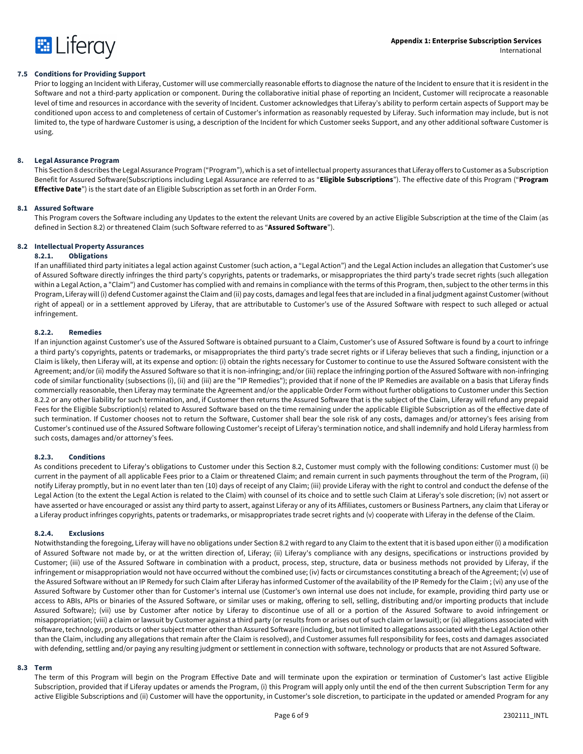

#### **7.5 Conditions for Providing Support**

Prior to logging an Incident with Liferay, Customer will use commercially reasonable efforts to diagnose the nature of the Incident to ensure that it is resident in the Software and not a third-party application or component. During the collaborative initial phase of reporting an Incident, Customer will reciprocate a reasonable level of time and resources in accordance with the severity of Incident. Customer acknowledges that Liferay's ability to perform certain aspects of Support may be conditioned upon access to and completeness of certain of Customer's information as reasonably requested by Liferay. Such information may include, but is not limited to, the type of hardware Customer is using, a description of the Incident for which Customer seeks Support, and any other additional software Customer is using.

#### **8. Legal Assurance Program**

This Section 8 describes the Legal Assurance Program ("Program"), which is a set of intellectual property assurances that Liferay offers to Customer as a Subscription Benefit for Assured Software(Subscriptions including Legal Assurance are referred to as "**Eligible Subscriptions**"). The effective date of this Program ("**Program Effective Date**") is the start date of an Eligible Subscription as set forth in an Order Form.

#### **8.1 Assured Software**

This Program covers the Software including any Updates to the extent the relevant Units are covered by an active Eligible Subscription at the time of the Claim (as defined in Section 8.2) or threatened Claim (such Software referred to as "**Assured Software**").

# **8.2 Intellectual Property Assurances**

# **8.2.1. Obligations**

If an unaffiliated third party initiates a legal action against Customer (such action, a "Legal Action") and the Legal Action includes an allegation that Customer's use of Assured Software directly infringes the third party's copyrights, patents or trademarks, or misappropriates the third party's trade secret rights (such allegation within a Legal Action, a "Claim") and Customer has complied with and remains in compliance with the terms of this Program, then, subject to the other terms in this Program, Liferay will (i) defend Customer against the Claim and (ii) pay costs, damages and legal fees that are included in a final judgment against Customer (without right of appeal) or in a settlement approved by Liferay, that are attributable to Customer's use of the Assured Software with respect to such alleged or actual infringement.

#### **8.2.2. Remedies**

If an injunction against Customer's use of the Assured Software is obtained pursuant to a Claim, Customer's use of Assured Software is found by a court to infringe a third party's copyrights, patents or trademarks, or misappropriates the third party's trade secret rights or if Liferay believes that such a finding, injunction or a Claim is likely, then Liferay will, at its expense and option: (i) obtain the rights necessary for Customer to continue to use the Assured Software consistent with the Agreement; and/or (ii) modify the Assured Software so that it is non-infringing; and/or (iii) replace the infringing portion of the Assured Software with non-infringing code of similar functionality (subsections (i), (ii) and (iii) are the "IP Remedies"); provided that if none of the IP Remedies are available on a basis that Liferay finds commercially reasonable, then Liferay may terminate the Agreement and/or the applicable Order Form without further obligations to Customer under this Section 8.2.2 or any other liability for such termination, and, if Customer then returns the Assured Software that is the subject of the Claim, Liferay will refund any prepaid Fees for the Eligible Subscription(s) related to Assured Software based on the time remaining under the applicable Eligible Subscription as of the effective date of such termination. If Customer chooses not to return the Software, Customer shall bear the sole risk of any costs, damages and/or attorney's fees arising from Customer's continued use of the Assured Software following Customer's receipt of Liferay's termination notice, and shall indemnify and hold Liferay harmless from such costs, damages and/or attorney's fees.

#### **8.2.3. Conditions**

As conditions precedent to Liferay's obligations to Customer under this Section 8.2, Customer must comply with the following conditions: Customer must (i) be current in the payment of all applicable Fees prior to a Claim or threatened Claim; and remain current in such payments throughout the term of the Program, (ii) notify Liferay promptly, but in no event later than ten (10) days of receipt of any Claim; (iii) provide Liferay with the right to control and conduct the defense of the Legal Action (to the extent the Legal Action is related to the Claim) with counsel of its choice and to settle such Claim at Liferay's sole discretion; (iv) not assert or have asserted or have encouraged or assist any third party to assert, against Liferay or any of its Affiliates, customers or Business Partners, any claim that Liferay or a Liferay product infringes copyrights, patents or trademarks, or misappropriates trade secret rights and (v) cooperate with Liferay in the defense of the Claim.

#### **8.2.4. Exclusions**

Notwithstanding the foregoing, Liferay will have no obligations under Section 8.2 with regard to any Claim to the extent that it is based upon either (i) a modification of Assured Software not made by, or at the written direction of, Liferay; (ii) Liferay's compliance with any designs, specifications or instructions provided by Customer; (iii) use of the Assured Software in combination with a product, process, step, structure, data or business methods not provided by Liferay, if the infringement or misappropriation would not have occurred without the combined use; (iv) facts or circumstances constituting a breach of the Agreement; (v) use of the Assured Software without an IP Remedy for such Claim after Liferay has informed Customer of the availability of the IP Remedy for the Claim ; (vi) any use of the Assured Software by Customer other than for Customer's internal use (Customer's own internal use does not include, for example, providing third party use or access to ABIs, APIs or binaries of the Assured Software, or similar uses or making, offering to sell, selling, distributing and/or importing products that include Assured Software); (vii) use by Customer after notice by Liferay to discontinue use of all or a portion of the Assured Software to avoid infringement or misappropriation; (viii) a claim or lawsuit by Customer against a third party (or results from or arises out of such claim or lawsuit); or (ix) allegations associated with software, technology, products or other subject matter other than Assured Software (including, but not limited to allegations associated with the Legal Action other than the Claim, including any allegations that remain after the Claim is resolved), and Customer assumes full responsibility for fees, costs and damages associated with defending, settling and/or paying any resulting judgment or settlement in connection with software, technology or products that are not Assured Software.

#### **8.3 Term**

The term of this Program will begin on the Program Effective Date and will terminate upon the expiration or termination of Customer's last active Eligible Subscription, provided that if Liferay updates or amends the Program, (i) this Program will apply only until the end of the then current Subscription Term for any active Eligible Subscriptions and (ii) Customer will have the opportunity, in Customer's sole discretion, to participate in the updated or amended Program for any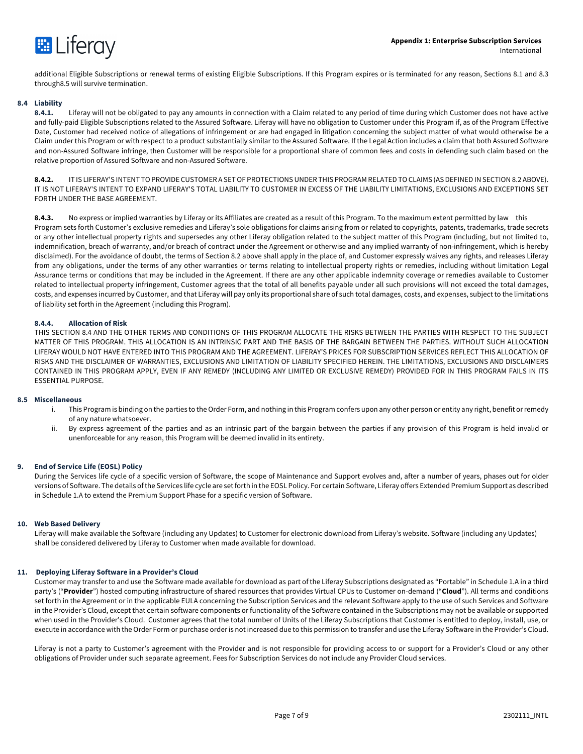

additional Eligible Subscriptions or renewal terms of existing Eligible Subscriptions. If this Program expires or is terminated for any reason, Sections 8.1 and 8.3 through8.5 will survive termination.

# **8.4 Liability**

**8.4.1.** Liferay will not be obligated to pay any amounts in connection with a Claim related to any period of time during which Customer does not have active and fully-paid Eligible Subscriptions related to the Assured Software. Liferay will have no obligation to Customer under this Program if, as of the Program Effective Date, Customer had received notice of allegations of infringement or are had engaged in litigation concerning the subject matter of what would otherwise be a Claim under this Program or with respect to a product substantially similar to the Assured Software. If the Legal Action includes a claim that both Assured Software and non-Assured Software infringe, then Customer will be responsible for a proportional share of common fees and costs in defending such claim based on the relative proportion of Assured Software and non-Assured Software.

**8.4.2.** IT IS LIFERAY'S INTENT TO PROVIDE CUSTOMER A SET OF PROTECTIONS UNDER THIS PROGRAM RELATED TO CLAIMS (AS DEFINED IN SECTION 8.2 ABOVE). IT IS NOT LIFERAY'S INTENT TO EXPAND LIFERAY'S TOTAL LIABILITY TO CUSTOMER IN EXCESS OF THE LIABILITY LIMITATIONS, EXCLUSIONS AND EXCEPTIONS SET FORTH UNDER THE BASE AGREEMENT.

**8.4.3.** No express or implied warranties by Liferay or its Affiliates are created as a result of this Program. To the maximum extent permitted by law this Program sets forth Customer's exclusive remedies and Liferay's sole obligations for claims arising from or related to copyrights, patents, trademarks, trade secrets or any other intellectual property rights and supersedes any other Liferay obligation related to the subject matter of this Program (including, but not limited to, indemnification, breach of warranty, and/or breach of contract under the Agreement or otherwise and any implied warranty of non-infringement, which is hereby disclaimed). For the avoidance of doubt, the terms of Section 8.2 above shall apply in the place of, and Customer expressly waives any rights, and releases Liferay from any obligations, under the terms of any other warranties or terms relating to intellectual property rights or remedies, including without limitation Legal Assurance terms or conditions that may be included in the Agreement. If there are any other applicable indemnity coverage or remedies available to Customer related to intellectual property infringement, Customer agrees that the total of all benefits payable under all such provisions will not exceed the total damages, costs, and expenses incurred by Customer, and that Liferay will pay only its proportional share of such total damages, costs, and expenses, subject to the limitations of liability set forth in the Agreement (including this Program).

# **8.4.4. Allocation of Risk**

THIS SECTION 8.4 AND THE OTHER TERMS AND CONDITIONS OF THIS PROGRAM ALLOCATE THE RISKS BETWEEN THE PARTIES WITH RESPECT TO THE SUBJECT MATTER OF THIS PROGRAM. THIS ALLOCATION IS AN INTRINSIC PART AND THE BASIS OF THE BARGAIN BETWEEN THE PARTIES. WITHOUT SUCH ALLOCATION LIFERAY WOULD NOT HAVE ENTERED INTO THIS PROGRAM AND THE AGREEMENT. LIFERAY'S PRICES FOR SUBSCRIPTION SERVICES REFLECT THIS ALLOCATION OF RISKS AND THE DISCLAIMER OF WARRANTIES, EXCLUSIONS AND LIMITATION OF LIABILITY SPECIFIED HEREIN. THE LIMITATIONS, EXCLUSIONS AND DISCLAIMERS CONTAINED IN THIS PROGRAM APPLY, EVEN IF ANY REMEDY (INCLUDING ANY LIMITED OR EXCLUSIVE REMEDY) PROVIDED FOR IN THIS PROGRAM FAILS IN ITS ESSENTIAL PURPOSE.

#### **8.5 Miscellaneous**

- i. This Program is binding on the parties to the Order Form, and nothing in this Program confers upon any other person or entity any right, benefit or remedy of any nature whatsoever.
- ii. By express agreement of the parties and as an intrinsic part of the bargain between the parties if any provision of this Program is held invalid or unenforceable for any reason, this Program will be deemed invalid in its entirety.

# **9. End of Service Life (EOSL) Policy**

During the Services life cycle of a specific version of Software, the scope of Maintenance and Support evolves and, after a number of years, phases out for older versions of Software. The details of the Services life cycle are set forth in the EOSL Policy. For certain Software, Liferay offers Extended Premium Support as described in Schedule 1.A to extend the Premium Support Phase for a specific version of Software.

#### **10. Web Based Delivery**

Liferay will make available the Software (including any Updates) to Customer for electronic download from Liferay's website. Software (including any Updates) shall be considered delivered by Liferay to Customer when made available for download.

#### **11. Deploying Liferay Software in a Provider's Cloud**

Customer may transfer to and use the Software made available for download as part of the Liferay Subscriptions designated as "Portable" in Schedule 1.A in a third party's ("**Provider**") hosted computing infrastructure of shared resources that provides Virtual CPUs to Customer on-demand ("**Cloud**"). All terms and conditions set forth in the Agreement or in the applicable EULA concerning the Subscription Services and the relevant Software apply to the use of such Services and Software in the Provider's Cloud, except that certain software components or functionality of the Software contained in the Subscriptions may not be available or supported when used in the Provider's Cloud. Customer agrees that the total number of Units of the Liferay Subscriptions that Customer is entitled to deploy, install, use, or execute in accordance with the Order Form or purchase order is not increased due to this permission to transfer and use the Liferay Software in the Provider's Cloud.

Liferay is not a party to Customer's agreement with the Provider and is not responsible for providing access to or support for a Provider's Cloud or any other obligations of Provider under such separate agreement. Fees for Subscription Services do not include any Provider Cloud services.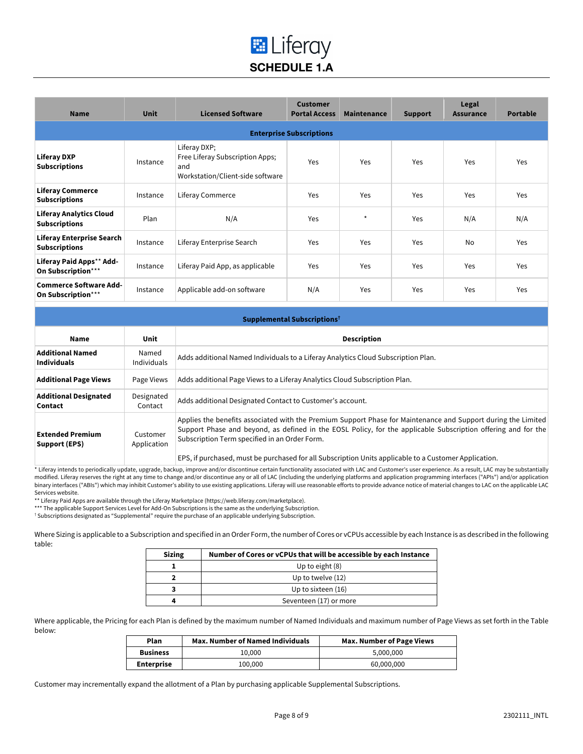# **E** Liferay **SCHEDULE 1.A**

| <b>Name</b>                                              | <b>Unit</b> | <b>Licensed Software</b>                                                                   | <b>Customer</b><br><b>Portal Access</b> | <b>Maintenance</b> | <b>Support</b> | Legal<br><b>Assurance</b> | <b>Portable</b> |
|----------------------------------------------------------|-------------|--------------------------------------------------------------------------------------------|-----------------------------------------|--------------------|----------------|---------------------------|-----------------|
| <b>Enterprise Subscriptions</b>                          |             |                                                                                            |                                         |                    |                |                           |                 |
| <b>Liferay DXP</b><br><b>Subscriptions</b>               | Instance    | Liferay DXP;<br>Free Liferay Subscription Apps;<br>and<br>Workstation/Client-side software | Yes                                     | Yes                | Yes            | Yes                       | Yes             |
| <b>Liferay Commerce</b><br><b>Subscriptions</b>          | Instance    | Liferay Commerce                                                                           | Yes                                     | Yes                | Yes            | Yes                       | Yes             |
| <b>Liferay Analytics Cloud</b><br><b>Subscriptions</b>   | Plan        | N/A                                                                                        | Yes                                     | $\star$            | Yes            | N/A                       | N/A             |
| <b>Liferay Enterprise Search</b><br><b>Subscriptions</b> | Instance    | Liferay Enterprise Search                                                                  | Yes                                     | Yes                | Yes            | <b>No</b>                 | Yes             |
| Liferay Paid Apps** Add-<br>On Subscription***           | Instance    | Liferay Paid App, as applicable                                                            | Yes                                     | Yes                | Yes            | Yes                       | Yes             |
| <b>Commerce Software Add-</b><br>On Subscription***      | Instance    | Applicable add-on software                                                                 | N/A                                     | Yes                | Yes            | Yes                       | Yes             |

| Supplemental Subscriptions <sup>†</sup>       |                             |                                                                                                                                                                                                                                                                                 |
|-----------------------------------------------|-----------------------------|---------------------------------------------------------------------------------------------------------------------------------------------------------------------------------------------------------------------------------------------------------------------------------|
| Name                                          | Unit                        | <b>Description</b>                                                                                                                                                                                                                                                              |
| <b>Additional Named</b><br><b>Individuals</b> | Named<br><b>Individuals</b> | Adds additional Named Individuals to a Liferay Analytics Cloud Subscription Plan.                                                                                                                                                                                               |
| <b>Additional Page Views</b>                  | Page Views                  | Adds additional Page Views to a Liferay Analytics Cloud Subscription Plan.                                                                                                                                                                                                      |
| <b>Additional Designated</b><br>Contact       | Designated<br>Contact       | Adds additional Designated Contact to Customer's account.                                                                                                                                                                                                                       |
| <b>Extended Premium</b><br>Support (EPS)      | Customer<br>Application     | Applies the benefits associated with the Premium Support Phase for Maintenance and Support during the Limited<br>Support Phase and beyond, as defined in the EOSL Policy, for the applicable Subscription offering and for the<br>Subscription Term specified in an Order Form. |
|                                               |                             | EPS, if purchased, must be purchased for all Subscription Units applicable to a Customer Application.                                                                                                                                                                           |

\* Liferay intends to periodically update, upgrade, backup, improve and/or discontinue certain functionality associated with LAC and Customer's user experience. As a result, LAC may be substantially modified. Liferay reserves the right at any time to change and/or discontinue any or all of LAC (including the underlying platforms and application programming interfaces ("APIs") and/or application binary interfaces ("ABIs") which may inhibit Customer's ability to use existing applications. Liferay will use reasonable efforts to provide advance notice of material changes to LAC on the applicable LAC Services website.

\*\* Liferay Paid Apps are available through the Liferay Marketplace (https://web.liferay.com/marketplace).

\*\*\* The applicable Support Services Level for Add-On Subscriptions is the same as the underlying Subscription.

† Subscriptions designated as "Supplemental" require the purchase of an applicable underlying Subscription.

Where Sizing is applicable to a Subscription and specified in an Order Form,the number of Cores or vCPUs accessible by each Instance is as described in the following table:

| <b>Sizing</b> | Number of Cores or vCPUs that will be accessible by each Instance |
|---------------|-------------------------------------------------------------------|
|               | Up to eight (8)                                                   |
|               | Up to twelve (12)                                                 |
|               | Up to sixteen (16)                                                |
|               | Seventeen (17) or more                                            |

Where applicable, the Pricing for each Plan is defined by the maximum number of Named Individuals and maximum number of Page Views as set forth in the Table below:

| Plan              | <b>Max. Number of Named Individuals</b> | <b>Max. Number of Page Views</b> |
|-------------------|-----------------------------------------|----------------------------------|
| <b>Business</b>   | 10.000                                  | 5.000.000                        |
| <b>Enterprise</b> | 100.000                                 | 60,000,000                       |

Customer may incrementally expand the allotment of a Plan by purchasing applicable Supplemental Subscriptions.